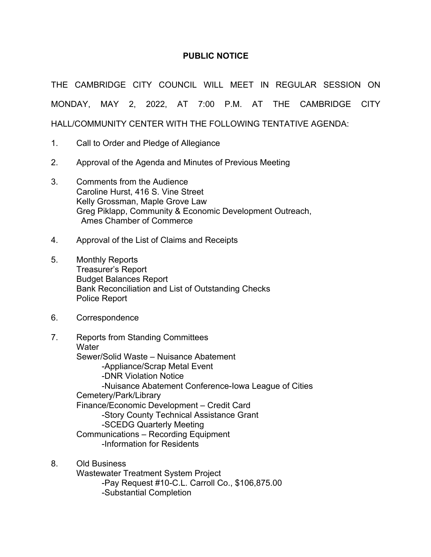## **PUBLIC NOTICE**

THE CAMBRIDGE CITY COUNCIL WILL MEET IN REGULAR SESSION ON MONDAY, MAY 2, 2022, AT 7:00 P.M. AT THE CAMBRIDGE CITY HALL/COMMUNITY CENTER WITH THE FOLLOWING TENTATIVE AGENDA:

- 1. Call to Order and Pledge of Allegiance
- 2. Approval of the Agenda and Minutes of Previous Meeting
- 3. Comments from the Audience Caroline Hurst, 416 S. Vine Street Kelly Grossman, Maple Grove Law Greg Piklapp, Community & Economic Development Outreach, Ames Chamber of Commerce
- 4. Approval of the List of Claims and Receipts
- 5. Monthly Reports Treasurer's Report Budget Balances Report Bank Reconciliation and List of Outstanding Checks Police Report
- 6. Correspondence
- 7. Reports from Standing Committees **Water** Sewer/Solid Waste – Nuisance Abatement -Appliance/Scrap Metal Event -DNR Violation Notice -Nuisance Abatement Conference-Iowa League of Cities Cemetery/Park/Library Finance/Economic Development – Credit Card -Story County Technical Assistance Grant -SCEDG Quarterly Meeting Communications – Recording Equipment -Information for Residents
- 8. Old Business

Wastewater Treatment System Project -Pay Request #10-C.L. Carroll Co., \$106,875.00 -Substantial Completion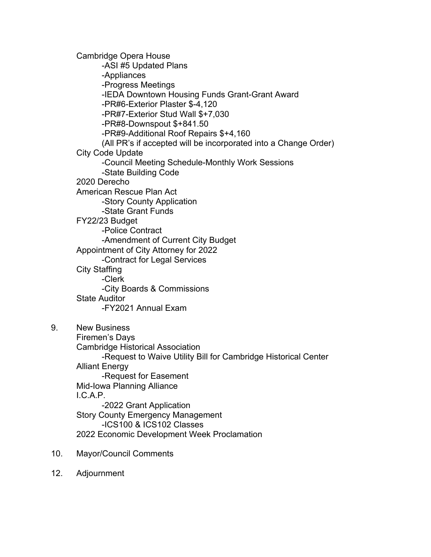Cambridge Opera House

-ASI #5 Updated Plans

-Appliances

-Progress Meetings

-IEDA Downtown Housing Funds Grant-Grant Award

-PR#6-Exterior Plaster \$-4,120

-PR#7-Exterior Stud Wall \$+7,030

-PR#8-Downspout \$+841.50

-PR#9-Additional Roof Repairs \$+4,160

(All PR's if accepted will be incorporated into a Change Order)

City Code Update

-Council Meeting Schedule-Monthly Work Sessions

-State Building Code

2020 Derecho

American Rescue Plan Act

-Story County Application

-State Grant Funds

FY22/23 Budget

-Police Contract

-Amendment of Current City Budget

Appointment of City Attorney for 2022

-Contract for Legal Services

City Staffing

-Clerk

-City Boards & Commissions

State Auditor

-FY2021 Annual Exam

9. New Business

Firemen's Days

Cambridge Historical Association

-Request to Waive Utility Bill for Cambridge Historical Center Alliant Energy

-Request for Easement

Mid-Iowa Planning Alliance I.C.A.P.

-2022 Grant Application Story County Emergency Management -ICS100 & ICS102 Classes

2022 Economic Development Week Proclamation

- 10. Mayor/Council Comments
- 12. Adjournment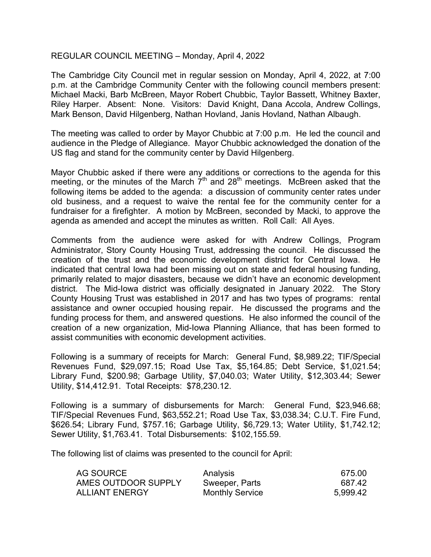## REGULAR COUNCIL MEETING – Monday, April 4, 2022

The Cambridge City Council met in regular session on Monday, April 4, 2022, at 7:00 p.m. at the Cambridge Community Center with the following council members present: Michael Macki, Barb McBreen, Mayor Robert Chubbic, Taylor Bassett, Whitney Baxter, Riley Harper. Absent: None. Visitors: David Knight, Dana Accola, Andrew Collings, Mark Benson, David Hilgenberg, Nathan Hovland, Janis Hovland, Nathan Albaugh.

The meeting was called to order by Mayor Chubbic at 7:00 p.m. He led the council and audience in the Pledge of Allegiance. Mayor Chubbic acknowledged the donation of the US flag and stand for the community center by David Hilgenberg.

Mayor Chubbic asked if there were any additions or corrections to the agenda for this meeting, or the minutes of the March  $7<sup>th</sup>$  and 28<sup>th</sup> meetings. McBreen asked that the following items be added to the agenda: a discussion of community center rates under old business, and a request to waive the rental fee for the community center for a fundraiser for a firefighter. A motion by McBreen, seconded by Macki, to approve the agenda as amended and accept the minutes as written. Roll Call: All Ayes.

Comments from the audience were asked for with Andrew Collings, Program Administrator, Story County Housing Trust, addressing the council. He discussed the creation of the trust and the economic development district for Central Iowa. He indicated that central Iowa had been missing out on state and federal housing funding, primarily related to major disasters, because we didn't have an economic development district. The Mid-Iowa district was officially designated in January 2022. The Story County Housing Trust was established in 2017 and has two types of programs: rental assistance and owner occupied housing repair. He discussed the programs and the funding process for them, and answered questions. He also informed the council of the creation of a new organization, Mid-Iowa Planning Alliance, that has been formed to assist communities with economic development activities.

Following is a summary of receipts for March: General Fund, \$8,989.22; TIF/Special Revenues Fund, \$29,097.15; Road Use Tax, \$5,164.85; Debt Service, \$1,021.54; Library Fund, \$200.98; Garbage Utility, \$7,040.03; Water Utility, \$12,303.44; Sewer Utility, \$14,412.91. Total Receipts: \$78,230.12.

Following is a summary of disbursements for March: General Fund, \$23,946.68; TIF/Special Revenues Fund, \$63,552.21; Road Use Tax, \$3,038.34; C.U.T. Fire Fund, \$626.54; Library Fund, \$757.16; Garbage Utility, \$6,729.13; Water Utility, \$1,742.12; Sewer Utility, \$1,763.41. Total Disbursements: \$102,155.59.

The following list of claims was presented to the council for April:

| AG SOURCE             | Analysis               | 675.00   |
|-----------------------|------------------------|----------|
| AMES OUTDOOR SUPPLY   | Sweeper, Parts         | 687.42   |
| <b>ALLIANT ENERGY</b> | <b>Monthly Service</b> | 5,999.42 |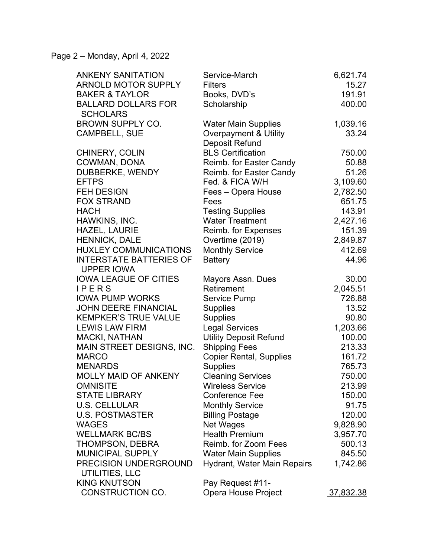Page 2 – Monday, April 4, 2022

| <b>ANKENY SANITATION</b>                            | Service-March                  | 6,621.74  |
|-----------------------------------------------------|--------------------------------|-----------|
| <b>ARNOLD MOTOR SUPPLY</b>                          | <b>Filters</b>                 | 15.27     |
| <b>BAKER &amp; TAYLOR</b>                           | Books, DVD's                   | 191.91    |
| <b>BALLARD DOLLARS FOR</b>                          | Scholarship                    | 400.00    |
| <b>SCHOLARS</b>                                     |                                |           |
| BROWN SUPPLY CO.                                    | <b>Water Main Supplies</b>     | 1,039.16  |
| <b>CAMPBELL, SUE</b>                                | Overpayment & Utility          | 33.24     |
|                                                     | Deposit Refund                 |           |
| <b>CHINERY, COLIN</b>                               | <b>BLS Certification</b>       | 750.00    |
| COWMAN, DONA                                        | Reimb. for Easter Candy        | 50.88     |
| DUBBERKE, WENDY                                     | Reimb. for Easter Candy        | 51.26     |
| <b>EFTPS</b>                                        | Fed. & FICA W/H                | 3,109.60  |
| <b>FEH DESIGN</b>                                   | Fees - Opera House             | 2,782.50  |
| <b>FOX STRAND</b>                                   | Fees                           | 651.75    |
| <b>HACH</b>                                         | <b>Testing Supplies</b>        | 143.91    |
| HAWKINS, INC.                                       | <b>Water Treatment</b>         | 2,427.16  |
| <b>HAZEL, LAURIE</b>                                | Reimb. for Expenses            | 151.39    |
| <b>HENNICK, DALE</b>                                | Overtime (2019)                | 2,849.87  |
| <b>HUXLEY COMMUNICATIONS</b>                        | <b>Monthly Service</b>         | 412.69    |
| <b>INTERSTATE BATTERIES OF</b><br><b>UPPER IOWA</b> | <b>Battery</b>                 | 44.96     |
| <b>IOWA LEAGUE OF CITIES</b>                        | Mayors Assn. Dues              | 30.00     |
| IPERS                                               | Retirement                     | 2,045.51  |
| <b>IOWA PUMP WORKS</b>                              | Service Pump                   | 726.88    |
| <b>JOHN DEERE FINANCIAL</b>                         | <b>Supplies</b>                | 13.52     |
| <b>KEMPKER'S TRUE VALUE</b>                         | <b>Supplies</b>                | 90.80     |
| <b>LEWIS LAW FIRM</b>                               | <b>Legal Services</b>          | 1,203.66  |
| <b>MACKI, NATHAN</b>                                | <b>Utility Deposit Refund</b>  | 100.00    |
| MAIN STREET DESIGNS, INC.                           | <b>Shipping Fees</b>           | 213.33    |
| <b>MARCO</b>                                        | <b>Copier Rental, Supplies</b> | 161.72    |
| <b>MENARDS</b>                                      | <b>Supplies</b>                | 765.73    |
| <b>MOLLY MAID OF ANKENY</b>                         | <b>Cleaning Services</b>       | 750.00    |
| <b>OMNISITE</b>                                     | <b>Wireless Service</b>        | 213.99    |
| <b>STATE LIBRARY</b>                                | Conference Fee                 | 150.00    |
| <b>U.S. CELLULAR</b>                                | <b>Monthly Service</b>         | 91.75     |
| <b>U.S. POSTMASTER</b>                              | <b>Billing Postage</b>         | 120.00    |
| <b>WAGES</b>                                        | <b>Net Wages</b>               | 9,828.90  |
| <b>WELLMARK BC/BS</b>                               | <b>Health Premium</b>          | 3,957.70  |
| THOMPSON, DEBRA                                     | Reimb. for Zoom Fees           | 500.13    |
| <b>MUNICIPAL SUPPLY</b>                             | <b>Water Main Supplies</b>     | 845.50    |
| PRECISION UNDERGROUND                               | Hydrant, Water Main Repairs    | 1,742.86  |
| UTILITIES, LLC                                      |                                |           |
| <b>KING KNUTSON</b>                                 | Pay Request #11-               |           |
| <b>CONSTRUCTION CO.</b>                             | Opera House Project            | 37,832.38 |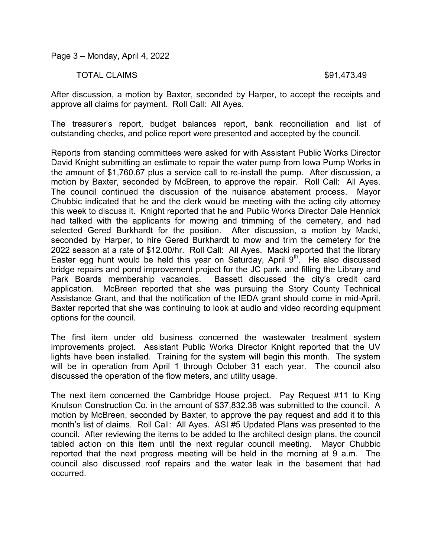Page 3 – Monday, April 4, 2022

TOTAL CLAIMS \$91,473.49

After discussion, a motion by Baxter, seconded by Harper, to accept the receipts and approve all claims for payment. Roll Call: All Ayes.

The treasurer's report, budget balances report, bank reconciliation and list of outstanding checks, and police report were presented and accepted by the council.

Reports from standing committees were asked for with Assistant Public Works Director David Knight submitting an estimate to repair the water pump from Iowa Pump Works in the amount of \$1,760.67 plus a service call to re-install the pump. After discussion, a motion by Baxter, seconded by McBreen, to approve the repair. Roll Call: All Ayes. The council continued the discussion of the nuisance abatement process. Mayor Chubbic indicated that he and the clerk would be meeting with the acting city attorney this week to discuss it. Knight reported that he and Public Works Director Dale Hennick had talked with the applicants for mowing and trimming of the cemetery, and had selected Gered Burkhardt for the position. After discussion, a motion by Macki, seconded by Harper, to hire Gered Burkhardt to mow and trim the cemetery for the 2022 season at a rate of \$12.00/hr. Roll Call: All Ayes. Macki reported that the library Easter egg hunt would be held this year on Saturday, April  $9<sup>th</sup>$ . He also discussed bridge repairs and pond improvement project for the JC park, and filling the Library and Park Boards membership vacancies. Bassett discussed the city's credit card application. McBreen reported that she was pursuing the Story County Technical Assistance Grant, and that the notification of the IEDA grant should come in mid-April. Baxter reported that she was continuing to look at audio and video recording equipment options for the council.

The first item under old business concerned the wastewater treatment system improvements project. Assistant Public Works Director Knight reported that the UV lights have been installed. Training for the system will begin this month. The system will be in operation from April 1 through October 31 each year. The council also discussed the operation of the flow meters, and utility usage.

The next item concerned the Cambridge House project. Pay Request #11 to King Knutson Construction Co. in the amount of \$37,832.38 was submitted to the council. A motion by McBreen, seconded by Baxter, to approve the pay request and add it to this month's list of claims. Roll Call: All Ayes. ASI #5 Updated Plans was presented to the council. After reviewing the items to be added to the architect design plans, the council tabled action on this item until the next regular council meeting. Mayor Chubbic reported that the next progress meeting will be held in the morning at 9 a.m. The council also discussed roof repairs and the water leak in the basement that had occurred.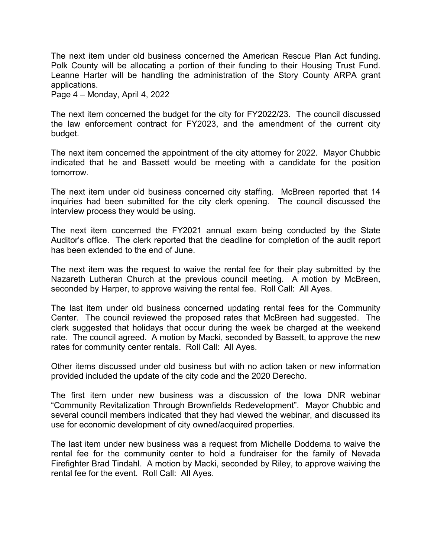The next item under old business concerned the American Rescue Plan Act funding. Polk County will be allocating a portion of their funding to their Housing Trust Fund. Leanne Harter will be handling the administration of the Story County ARPA grant applications.

Page 4 – Monday, April 4, 2022

The next item concerned the budget for the city for FY2022/23. The council discussed the law enforcement contract for FY2023, and the amendment of the current city budget.

The next item concerned the appointment of the city attorney for 2022. Mayor Chubbic indicated that he and Bassett would be meeting with a candidate for the position tomorrow.

The next item under old business concerned city staffing. McBreen reported that 14 inquiries had been submitted for the city clerk opening. The council discussed the interview process they would be using.

The next item concerned the FY2021 annual exam being conducted by the State Auditor's office. The clerk reported that the deadline for completion of the audit report has been extended to the end of June.

The next item was the request to waive the rental fee for their play submitted by the Nazareth Lutheran Church at the previous council meeting. A motion by McBreen, seconded by Harper, to approve waiving the rental fee. Roll Call: All Ayes.

The last item under old business concerned updating rental fees for the Community Center. The council reviewed the proposed rates that McBreen had suggested. The clerk suggested that holidays that occur during the week be charged at the weekend rate. The council agreed. A motion by Macki, seconded by Bassett, to approve the new rates for community center rentals. Roll Call: All Ayes.

Other items discussed under old business but with no action taken or new information provided included the update of the city code and the 2020 Derecho.

The first item under new business was a discussion of the Iowa DNR webinar "Community Revitalization Through Brownfields Redevelopment". Mayor Chubbic and several council members indicated that they had viewed the webinar, and discussed its use for economic development of city owned/acquired properties.

The last item under new business was a request from Michelle Doddema to waive the rental fee for the community center to hold a fundraiser for the family of Nevada Firefighter Brad Tindahl. A motion by Macki, seconded by Riley, to approve waiving the rental fee for the event. Roll Call: All Ayes.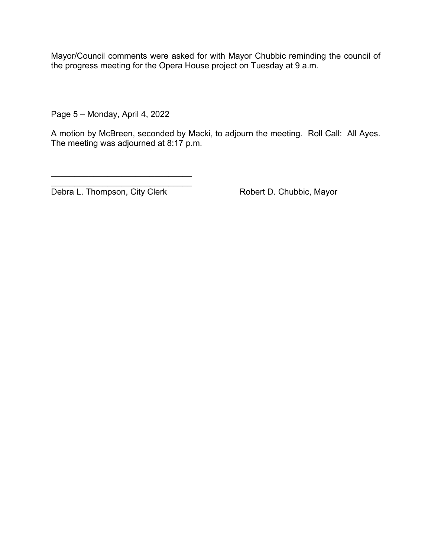Mayor/Council comments were asked for with Mayor Chubbic reminding the council of the progress meeting for the Opera House project on Tuesday at 9 a.m.

Page 5 – Monday, April 4, 2022

A motion by McBreen, seconded by Macki, to adjourn the meeting. Roll Call: All Ayes. The meeting was adjourned at 8:17 p.m.

Debra L. Thompson, City Clerk Robert D. Chubbic, Mayor

 $\mathcal{L}=\{1,2,3,4,5\}$ \_\_\_\_\_\_\_\_\_\_\_\_\_\_\_\_\_\_\_\_\_\_\_\_\_\_\_\_\_\_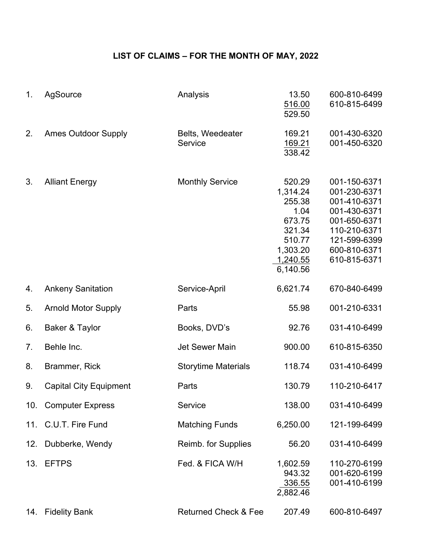## **LIST OF CLAIMS – FOR THE MONTH OF MAY, 2022**

| 1.  | AgSource                      | Analysis                        | 13.50<br>516.00<br>529.50                                                                              | 600-810-6499<br>610-815-6499                                                                                                                 |
|-----|-------------------------------|---------------------------------|--------------------------------------------------------------------------------------------------------|----------------------------------------------------------------------------------------------------------------------------------------------|
| 2.  | <b>Ames Outdoor Supply</b>    | Belts, Weedeater<br>Service     | 169.21<br>169.21<br>338.42                                                                             | 001-430-6320<br>001-450-6320                                                                                                                 |
| 3.  | <b>Alliant Energy</b>         | <b>Monthly Service</b>          | 520.29<br>1,314.24<br>255.38<br>1.04<br>673.75<br>321.34<br>510.77<br>1,303.20<br>1,240.55<br>6,140.56 | 001-150-6371<br>001-230-6371<br>001-410-6371<br>001-430-6371<br>001-650-6371<br>110-210-6371<br>121-599-6399<br>600-810-6371<br>610-815-6371 |
| 4.  | <b>Ankeny Sanitation</b>      | Service-April                   | 6,621.74                                                                                               | 670-840-6499                                                                                                                                 |
| 5.  | <b>Arnold Motor Supply</b>    | Parts                           | 55.98                                                                                                  | 001-210-6331                                                                                                                                 |
| 6.  | Baker & Taylor                | Books, DVD's                    | 92.76                                                                                                  | 031-410-6499                                                                                                                                 |
| 7.  | Behle Inc.                    | <b>Jet Sewer Main</b>           | 900.00                                                                                                 | 610-815-6350                                                                                                                                 |
| 8.  | Brammer, Rick                 | <b>Storytime Materials</b>      | 118.74                                                                                                 | 031-410-6499                                                                                                                                 |
| 9.  | <b>Capital City Equipment</b> | Parts                           | 130.79                                                                                                 | 110-210-6417                                                                                                                                 |
| 10. | <b>Computer Express</b>       | Service                         | 138.00                                                                                                 | 031-410-6499                                                                                                                                 |
|     | 11. C.U.T. Fire Fund          | <b>Matching Funds</b>           | 6,250.00                                                                                               | 121-199-6499                                                                                                                                 |
| 12. | Dubberke, Wendy               | Reimb. for Supplies             | 56.20                                                                                                  | 031-410-6499                                                                                                                                 |
| 13. | <b>EFTPS</b>                  | Fed. & FICA W/H                 | 1,602.59<br>943.32<br>336.55<br>2,882.46                                                               | 110-270-6199<br>001-620-6199<br>001-410-6199                                                                                                 |
| 14. | <b>Fidelity Bank</b>          | <b>Returned Check &amp; Fee</b> | 207.49                                                                                                 | 600-810-6497                                                                                                                                 |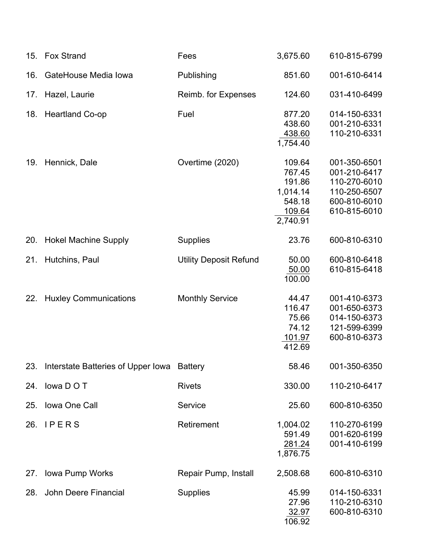|     | 15. Fox Strand                                 | Fees                          | 3,675.60                                                               | 610-815-6799                                                                                 |
|-----|------------------------------------------------|-------------------------------|------------------------------------------------------------------------|----------------------------------------------------------------------------------------------|
| 16. | GateHouse Media lowa                           | Publishing                    | 851.60                                                                 | 001-610-6414                                                                                 |
| 17. | Hazel, Laurie                                  | Reimb. for Expenses           | 124.60                                                                 | 031-410-6499                                                                                 |
| 18. | <b>Heartland Co-op</b>                         | Fuel                          | 877.20<br>438.60<br>438.60<br>1,754.40                                 | 014-150-6331<br>001-210-6331<br>110-210-6331                                                 |
| 19. | Hennick, Dale                                  | Overtime (2020)               | 109.64<br>767.45<br>191.86<br>1,014.14<br>548.18<br>109.64<br>2,740.91 | 001-350-6501<br>001-210-6417<br>110-270-6010<br>110-250-6507<br>600-810-6010<br>610-815-6010 |
| 20. | <b>Hokel Machine Supply</b>                    | <b>Supplies</b>               | 23.76                                                                  | 600-810-6310                                                                                 |
| 21. | Hutchins, Paul                                 | <b>Utility Deposit Refund</b> | 50.00<br>50.00<br>100.00                                               | 600-810-6418<br>610-815-6418                                                                 |
| 22. | <b>Huxley Communications</b>                   | <b>Monthly Service</b>        | 44.47<br>116.47<br>75.66<br>74.12<br>101.97<br>412.69                  | 001-410-6373<br>001-650-6373<br>014-150-6373<br>121-599-6399<br>600-810-6373                 |
|     | 23. Interstate Batteries of Upper Iowa Battery |                               | 58.46                                                                  | 001-350-6350                                                                                 |
| 24. | lowa D O T                                     | <b>Rivets</b>                 | 330.00                                                                 | 110-210-6417                                                                                 |
| 25. | Iowa One Call                                  | Service                       | 25.60                                                                  | 600-810-6350                                                                                 |
|     | 26. IPERS                                      | Retirement                    | 1,004.02<br>591.49<br>281.24<br>1,876.75                               | 110-270-6199<br>001-620-6199<br>001-410-6199                                                 |
| 27. | <b>Iowa Pump Works</b>                         | Repair Pump, Install          | 2,508.68                                                               | 600-810-6310                                                                                 |
| 28. | John Deere Financial                           | <b>Supplies</b>               | 45.99<br>27.96<br>32.97<br>106.92                                      | 014-150-6331<br>110-210-6310<br>600-810-6310                                                 |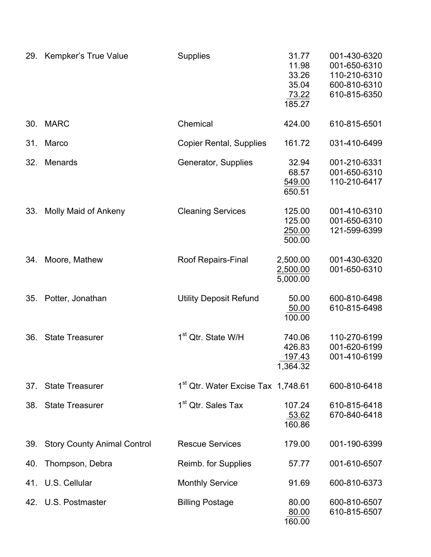| 29. | <b>Kempker's True Value</b>        | <b>Supplies</b>                                | 31.77<br>11.98<br>33.26<br>35.04<br>73.22<br>185.27 | 001-430-6320<br>001-650-6310<br>110-210-6310<br>600-810-6310<br>610-815-6350 |
|-----|------------------------------------|------------------------------------------------|-----------------------------------------------------|------------------------------------------------------------------------------|
| 30. | <b>MARC</b>                        | Chemical                                       | 424.00                                              | 610-815-6501                                                                 |
| 31. | Marco                              | <b>Copier Rental, Supplies</b>                 | 161.72                                              | 031-410-6499                                                                 |
| 32. | <b>Menards</b>                     | Generator, Supplies                            | 32.94<br>68.57<br>549.00<br>650.51                  | 001-210-6331<br>001-650-6310<br>110-210-6417                                 |
| 33. | <b>Molly Maid of Ankeny</b>        | <b>Cleaning Services</b>                       | 125.00<br>125.00<br>250.00<br>500.00                | 001-410-6310<br>001-650-6310<br>121-599-6399                                 |
| 34. | Moore, Mathew                      | Roof Repairs-Final                             | 2,500.00<br>2,500.00<br>5,000.00                    | 001-430-6320<br>001-650-6310                                                 |
| 35. | Potter, Jonathan                   | <b>Utility Deposit Refund</b>                  | 50.00<br>50.00<br>100.00                            | 600-810-6498<br>610-815-6498                                                 |
| 36. | <b>State Treasurer</b>             | 1 <sup>st</sup> Qtr. State W/H                 | 740.06<br>426.83<br>197.43<br>1,364.32              | 110-270-6199<br>001-620-6199<br>001-410-6199                                 |
| 37. | <b>State Treasurer</b>             | 1 <sup>st</sup> Qtr. Water Excise Tax 1,748.61 |                                                     | 600-810-6418                                                                 |
|     | 38. State Treasurer                | 1 <sup>st</sup> Qtr. Sales Tax                 | 107.24<br>53.62<br>160.86                           | 610-815-6418<br>670-840-6418                                                 |
| 39. | <b>Story County Animal Control</b> | <b>Rescue Services</b>                         | 179.00                                              | 001-190-6399                                                                 |
| 40. | Thompson, Debra                    | Reimb. for Supplies                            | 57.77                                               | 001-610-6507                                                                 |
| 41. | U.S. Cellular                      | <b>Monthly Service</b>                         | 91.69                                               | 600-810-6373                                                                 |
|     | 42. U.S. Postmaster                | <b>Billing Postage</b>                         | 80.00<br>80.00<br>160.00                            | 600-810-6507<br>610-815-6507                                                 |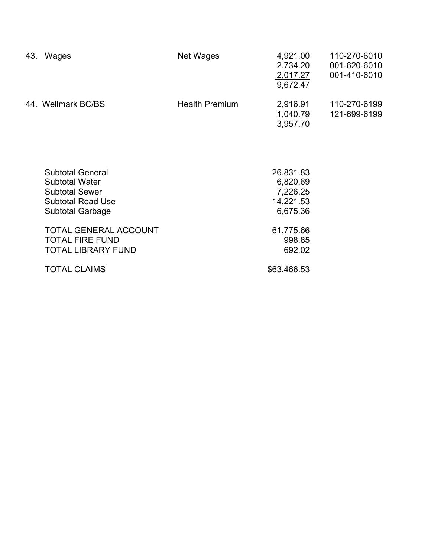| 43. Wages                                                                                                                        | <b>Net Wages</b>      | 4,921.00<br>2,734.20<br>2,017.27<br>9,672.47               | 110-270-6010<br>001-620-6010<br>001-410-6010 |
|----------------------------------------------------------------------------------------------------------------------------------|-----------------------|------------------------------------------------------------|----------------------------------------------|
| 44. Wellmark BC/BS                                                                                                               | <b>Health Premium</b> | 2,916.91<br>1,040.79<br>3,957.70                           | 110-270-6199<br>121-699-6199                 |
| <b>Subtotal General</b><br><b>Subtotal Water</b><br><b>Subtotal Sewer</b><br><b>Subtotal Road Use</b><br><b>Subtotal Garbage</b> |                       | 26,831.83<br>6,820.69<br>7,226.25<br>14,221.53<br>6,675.36 |                                              |
| <b>TOTAL GENERAL ACCOUNT</b><br><b>TOTAL FIRE FUND</b><br><b>TOTAL LIBRARY FUND</b>                                              |                       | 61,775.66<br>998.85<br>692.02                              |                                              |
| <b>TOTAL CLAIMS</b>                                                                                                              |                       | \$63,466.53                                                |                                              |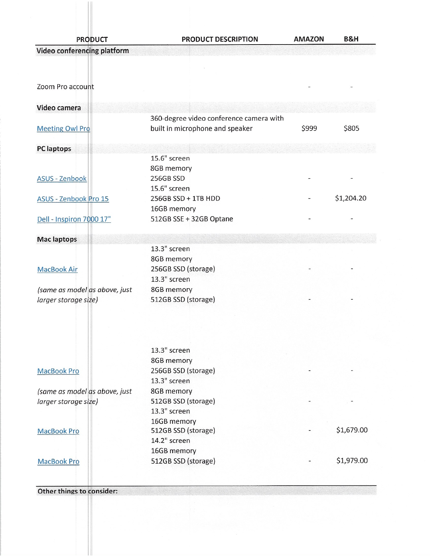| <b>PRODUCT</b>                | PRODUCT DESCRIPTION                     | <b>AMAZON</b> | <b>B&amp;H</b> |
|-------------------------------|-----------------------------------------|---------------|----------------|
| Video conferencing platform   |                                         |               |                |
|                               |                                         |               |                |
| Zoom Pro account              |                                         |               |                |
|                               |                                         |               |                |
| Video camera                  |                                         |               |                |
|                               | 360-degree video conference camera with |               |                |
| <b>Meeting Owl Pro</b>        | built in microphone and speaker         | \$999         | \$805          |
| PC laptops                    |                                         |               |                |
|                               | $15.6"$ screen                          |               |                |
|                               | 8GB memory                              |               |                |
| ASUS - Zenbook                | 256GB SSD                               |               |                |
|                               | 15.6" screen                            |               |                |
| <b>ASUS - Zenbook Pro 15</b>  | 256GB SSD + 1TB HDD                     |               | \$1,204.20     |
|                               | 16GB memory                             |               |                |
| Dell - Inspiron 7000 17"      | 512GB SSE + 32GB Optane                 |               |                |
| <b>Mac laptops</b>            |                                         |               |                |
|                               | 13.3" screen                            |               |                |
|                               | 8GB memory                              |               |                |
| <b>MacBook Air</b>            | 256GB SSD (storage)                     |               |                |
|                               | 13.3" screen                            |               |                |
| (same as model as above, just | 8GB memory                              |               |                |
| larger storage size)          | 512GB SSD (storage)                     |               |                |
|                               |                                         |               |                |
|                               | 13.3" screen                            |               |                |
|                               | 8GB memory                              |               |                |
| MacBook Pro                   | 256GB SSD (storage)<br>13.3" screen     |               |                |
|                               |                                         |               |                |
| (same as model as above, just | 8GB memory                              |               |                |
| larger storage size)          | 512GB SSD (storage)<br>13.3" screen     |               |                |
|                               | 16GB memory                             |               |                |
| <b>MacBook Pro</b>            | 512GB SSD (storage)                     |               | \$1,679.00     |
|                               | 14.2" screen                            |               |                |
|                               | 16GB memory                             |               |                |
| MacBook Pro                   | 512GB SSD (storage)                     |               | \$1,979.00     |
|                               |                                         |               |                |
|                               |                                         |               |                |

Other things to consider: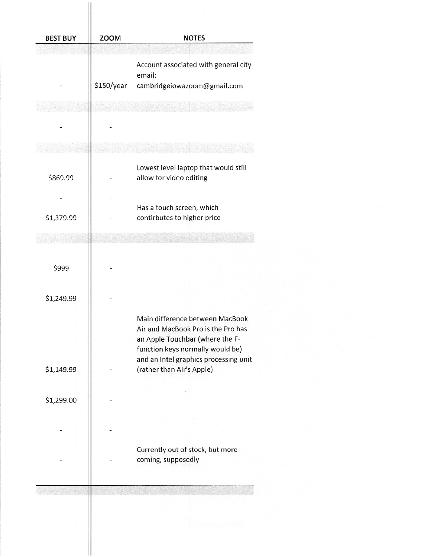| <b>BEST BUY</b> | <b>ZOOM</b> | <b>NOTES</b>                                                          |
|-----------------|-------------|-----------------------------------------------------------------------|
|                 |             | Account associated with general city                                  |
|                 |             | email:                                                                |
|                 | \$150/year  | cambridgeiowazoom@gmail.com                                           |
|                 |             |                                                                       |
|                 |             |                                                                       |
|                 |             |                                                                       |
|                 |             | Lowest level laptop that would still                                  |
| \$869.99        |             | allow for video editing                                               |
|                 |             |                                                                       |
|                 |             | Has a touch screen, which                                             |
| \$1,379.99      |             | contirbutes to higher price                                           |
|                 |             |                                                                       |
|                 |             |                                                                       |
| \$999           |             |                                                                       |
|                 |             |                                                                       |
| \$1,249.99      |             |                                                                       |
|                 |             |                                                                       |
|                 |             | Main difference between MacBook<br>Air and MacBook Pro is the Pro has |
|                 |             | an Apple Touchbar (where the F-                                       |
|                 |             | function keys normally would be)                                      |
| \$1,149.99      |             | and an Intel graphics processing unit<br>(rather than Air's Apple)    |
|                 |             |                                                                       |
|                 |             |                                                                       |
| \$1,299.00      |             |                                                                       |
|                 |             |                                                                       |
|                 |             |                                                                       |
|                 |             | Currently out of stock, but more                                      |
|                 |             | coming, supposedly                                                    |
|                 |             |                                                                       |